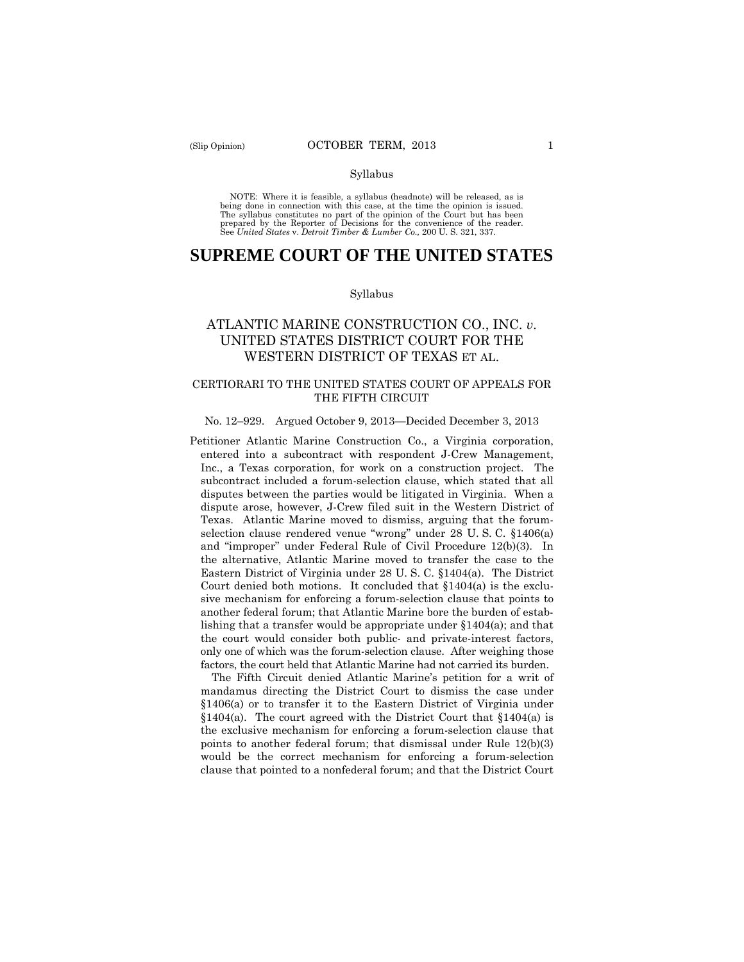### Syllabus

 NOTE: Where it is feasible, a syllabus (headnote) will be released, as is being done in connection with this case, at the time the opinion is issued. The syllabus constitutes no part of the opinion of the Court but has been<br>prepared by the Reporter of Decisions for the convenience of the reader.<br>See United States v. Detroit Timber & Lumber Co., 200 U. S. 321, 337.

# **SUPREME COURT OF THE UNITED STATES**

#### Syllabus

## ATLANTIC MARINE CONSTRUCTION CO., INC. *v*. UNITED STATES DISTRICT COURT FOR THE WESTERN DISTRICT OF TEXAS ET AL.

## CERTIORARI TO THE UNITED STATES COURT OF APPEALS FOR THE FIFTH CIRCUIT

### No. 12–929. Argued October 9, 2013—Decided December 3, 2013

 factors, the court held that Atlantic Marine had not carried its burden. Petitioner Atlantic Marine Construction Co., a Virginia corporation, entered into a subcontract with respondent J-Crew Management, Inc., a Texas corporation, for work on a construction project. The subcontract included a forum-selection clause, which stated that all disputes between the parties would be litigated in Virginia. When a dispute arose, however, J-Crew filed suit in the Western District of Texas. Atlantic Marine moved to dismiss, arguing that the forumselection clause rendered venue "wrong" under 28 U. S. C. §1406(a) and "improper" under Federal Rule of Civil Procedure 12(b)(3). In the alternative, Atlantic Marine moved to transfer the case to the Eastern District of Virginia under 28 U. S. C. §1404(a). The District Court denied both motions. It concluded that §1404(a) is the exclusive mechanism for enforcing a forum-selection clause that points to another federal forum; that Atlantic Marine bore the burden of establishing that a transfer would be appropriate under §1404(a); and that the court would consider both public- and private-interest factors, only one of which was the forum-selection clause. After weighing those

The Fifth Circuit denied Atlantic Marine's petition for a writ of mandamus directing the District Court to dismiss the case under §1406(a) or to transfer it to the Eastern District of Virginia under  $§1404(a)$ . The court agreed with the District Court that  $§1404(a)$  is the exclusive mechanism for enforcing a forum-selection clause that points to another federal forum; that dismissal under Rule 12(b)(3) would be the correct mechanism for enforcing a forum-selection clause that pointed to a nonfederal forum; and that the District Court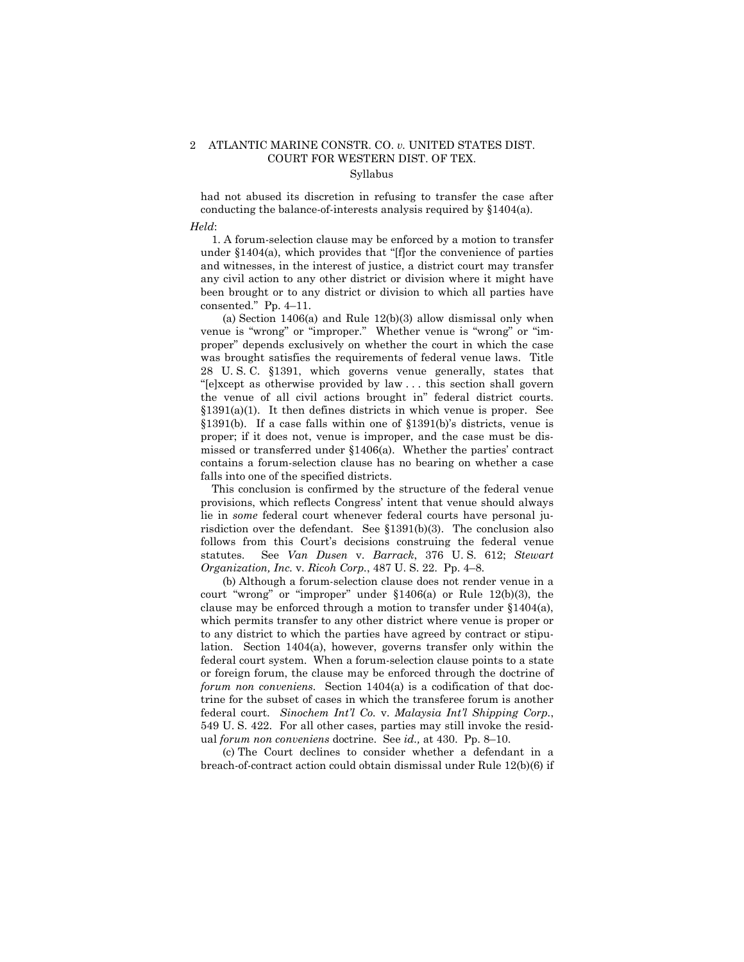## 2 ATLANTIC MARINE CONSTR. CO. *v.* UNITED STATES DIST. COURT FOR WESTERN DIST. OF TEX. Syllabus

had not abused its discretion in refusing to transfer the case after conducting the balance-of-interests analysis required by §1404(a).

#### *Held*:

1. A forum-selection clause may be enforced by a motion to transfer under §1404(a), which provides that "[f]or the convenience of parties and witnesses, in the interest of justice, a district court may transfer any civil action to any other district or division where it might have been brought or to any district or division to which all parties have consented." Pp. 4–11.

(a) Section 1406(a) and Rule 12(b)(3) allow dismissal only when venue is "wrong" or "improper." Whether venue is "wrong" or "improper" depends exclusively on whether the court in which the case was brought satisfies the requirements of federal venue laws. Title 28 U. S. C. §1391, which governs venue generally, states that "[e]xcept as otherwise provided by law . . . this section shall govern the venue of all civil actions brought in" federal district courts.  $$1391(a)(1)$ . It then defines districts in which venue is proper. See §1391(b). If a case falls within one of §1391(b)'s districts, venue is proper; if it does not, venue is improper, and the case must be dismissed or transferred under §1406(a). Whether the parties' contract contains a forum-selection clause has no bearing on whether a case falls into one of the specified districts.

This conclusion is confirmed by the structure of the federal venue provisions, which reflects Congress' intent that venue should always lie in *some* federal court whenever federal courts have personal jurisdiction over the defendant. See §1391(b)(3). The conclusion also follows from this Court's decisions construing the federal venue statutes. See *Van Dusen* v. *Barrack*, 376 U. S. 612; *Stewart Organization, Inc.* v. *Ricoh Corp.*, 487 U. S. 22. Pp. 4–8.

 federal court. *Sinochem Int'l Co.* v. *Malaysia Int'l Shipping Corp.*, (b) Although a forum-selection clause does not render venue in a court "wrong" or "improper" under §1406(a) or Rule 12(b)(3), the clause may be enforced through a motion to transfer under §1404(a), which permits transfer to any other district where venue is proper or to any district to which the parties have agreed by contract or stipulation. Section 1404(a), however, governs transfer only within the federal court system. When a forum-selection clause points to a state or foreign forum, the clause may be enforced through the doctrine of *forum non conveniens.* Section 1404(a) is a codification of that doctrine for the subset of cases in which the transferee forum is another 549 U. S. 422. For all other cases, parties may still invoke the residual *forum non conveniens* doctrine. See *id.,* at 430. Pp. 8–10.

(c) The Court declines to consider whether a defendant in a breach-of-contract action could obtain dismissal under Rule 12(b)(6) if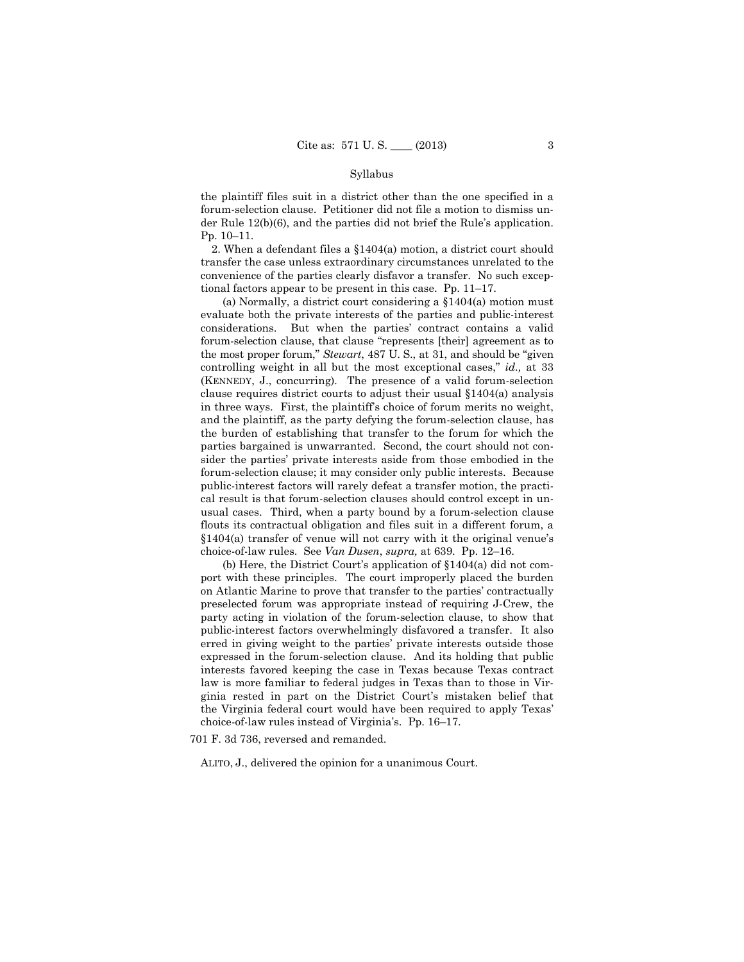### Syllabus

 der Rule 12(b)(6), and the parties did not brief the Rule's application. the plaintiff files suit in a district other than the one specified in a forum-selection clause. Petitioner did not file a motion to dismiss un-Pp. 10–11.

2. When a defendant files a §1404(a) motion, a district court should transfer the case unless extraordinary circumstances unrelated to the convenience of the parties clearly disfavor a transfer. No such exceptional factors appear to be present in this case. Pp. 11–17.

 usual cases. Third, when a party bound by a forum-selection clause (a) Normally, a district court considering a §1404(a) motion must evaluate both the private interests of the parties and public-interest considerations. But when the parties' contract contains a valid forum-selection clause, that clause "represents [their] agreement as to the most proper forum," *Stewart*, 487 U. S., at 31, and should be "given controlling weight in all but the most exceptional cases," *id.,* at 33 (KENNEDY, J., concurring)*.* The presence of a valid forum-selection clause requires district courts to adjust their usual §1404(a) analysis in three ways. First, the plaintiff's choice of forum merits no weight, and the plaintiff, as the party defying the forum-selection clause, has the burden of establishing that transfer to the forum for which the parties bargained is unwarranted. Second, the court should not consider the parties' private interests aside from those embodied in the forum-selection clause; it may consider only public interests. Because public-interest factors will rarely defeat a transfer motion, the practical result is that forum-selection clauses should control except in unflouts its contractual obligation and files suit in a different forum, a §1404(a) transfer of venue will not carry with it the original venue's choice-of-law rules. See *Van Dusen*, *supra,* at 639. Pp. 12–16.

(b) Here, the District Court's application of §1404(a) did not comport with these principles. The court improperly placed the burden on Atlantic Marine to prove that transfer to the parties' contractually preselected forum was appropriate instead of requiring J-Crew, the party acting in violation of the forum-selection clause, to show that public-interest factors overwhelmingly disfavored a transfer. It also erred in giving weight to the parties' private interests outside those expressed in the forum-selection clause. And its holding that public interests favored keeping the case in Texas because Texas contract law is more familiar to federal judges in Texas than to those in Virginia rested in part on the District Court's mistaken belief that the Virginia federal court would have been required to apply Texas' choice-of-law rules instead of Virginia's. Pp. 16–17.

701 F. 3d 736, reversed and remanded.

ALITO, J., delivered the opinion for a unanimous Court.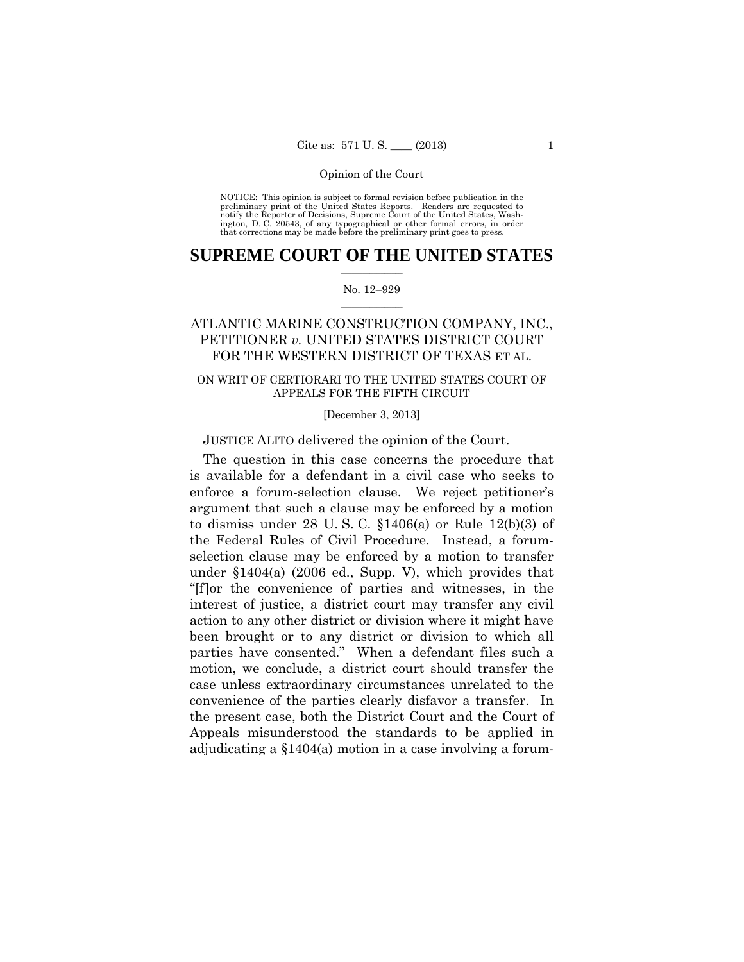preliminary print of the United States Reports. Readers are requested to notify the Reporter of Decisions, Supreme Court of the United States, Wash- ington, D. C. 20543, of any typographical or other formal errors, in order that corrections may be made before the preliminary print goes to press. NOTICE: This opinion is subject to formal revision before publication in the

## $\frac{1}{2}$  , where  $\frac{1}{2}$ **SUPREME COURT OF THE UNITED STATES**

### $\frac{1}{2}$  ,  $\frac{1}{2}$  ,  $\frac{1}{2}$  ,  $\frac{1}{2}$  ,  $\frac{1}{2}$  ,  $\frac{1}{2}$ No. 12–929

## ATLANTIC MARINE CONSTRUCTION COMPANY, INC., PETITIONER *v.* UNITED STATES DISTRICT COURT FOR THE WESTERN DISTRICT OF TEXAS ET AL.

## ON WRIT OF CERTIORARI TO THE UNITED STATES COURT OF APPEALS FOR THE FIFTH CIRCUIT

[December 3, 2013]

JUSTICE ALITO delivered the opinion of the Court.

The question in this case concerns the procedure that is available for a defendant in a civil case who seeks to enforce a forum-selection clause. We reject petitioner's argument that such a clause may be enforced by a motion to dismiss under 28 U.S.C.  $$1406(a)$  or Rule 12(b)(3) of the Federal Rules of Civil Procedure. Instead, a forumselection clause may be enforced by a motion to transfer under §1404(a) (2006 ed., Supp. V), which provides that "[f]or the convenience of parties and witnesses, in the interest of justice, a district court may transfer any civil action to any other district or division where it might have been brought or to any district or division to which all parties have consented." When a defendant files such a motion, we conclude, a district court should transfer the case unless extraordinary circumstances unrelated to the convenience of the parties clearly disfavor a transfer. In the present case, both the District Court and the Court of Appeals misunderstood the standards to be applied in adjudicating a §1404(a) motion in a case involving a forum-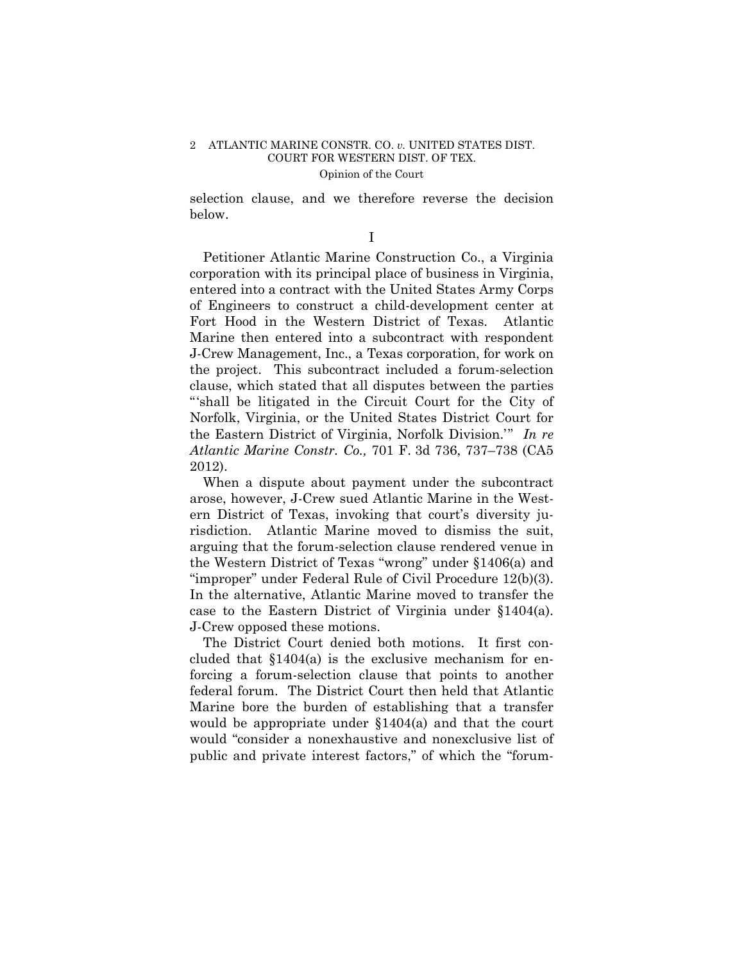selection clause, and we therefore reverse the decision below.

I

Petitioner Atlantic Marine Construction Co., a Virginia corporation with its principal place of business in Virginia, entered into a contract with the United States Army Corps of Engineers to construct a child-development center at Fort Hood in the Western District of Texas. Atlantic Marine then entered into a subcontract with respondent J-Crew Management, Inc., a Texas corporation, for work on the project. This subcontract included a forum-selection clause, which stated that all disputes between the parties "'shall be litigated in the Circuit Court for the City of Norfolk, Virginia, or the United States District Court for the Eastern District of Virginia, Norfolk Division.'" *In re Atlantic Marine Constr. Co.,* 701 F. 3d 736, 737–738 (CA5 2012).

When a dispute about payment under the subcontract arose, however, J-Crew sued Atlantic Marine in the Western District of Texas, invoking that court's diversity jurisdiction. Atlantic Marine moved to dismiss the suit, arguing that the forum-selection clause rendered venue in the Western District of Texas "wrong" under §1406(a) and "improper" under Federal Rule of Civil Procedure 12(b)(3). In the alternative, Atlantic Marine moved to transfer the case to the Eastern District of Virginia under §1404(a). J-Crew opposed these motions.

The District Court denied both motions. It first concluded that §1404(a) is the exclusive mechanism for enforcing a forum-selection clause that points to another federal forum. The District Court then held that Atlantic Marine bore the burden of establishing that a transfer would be appropriate under §1404(a) and that the court would "consider a nonexhaustive and nonexclusive list of public and private interest factors," of which the "forum-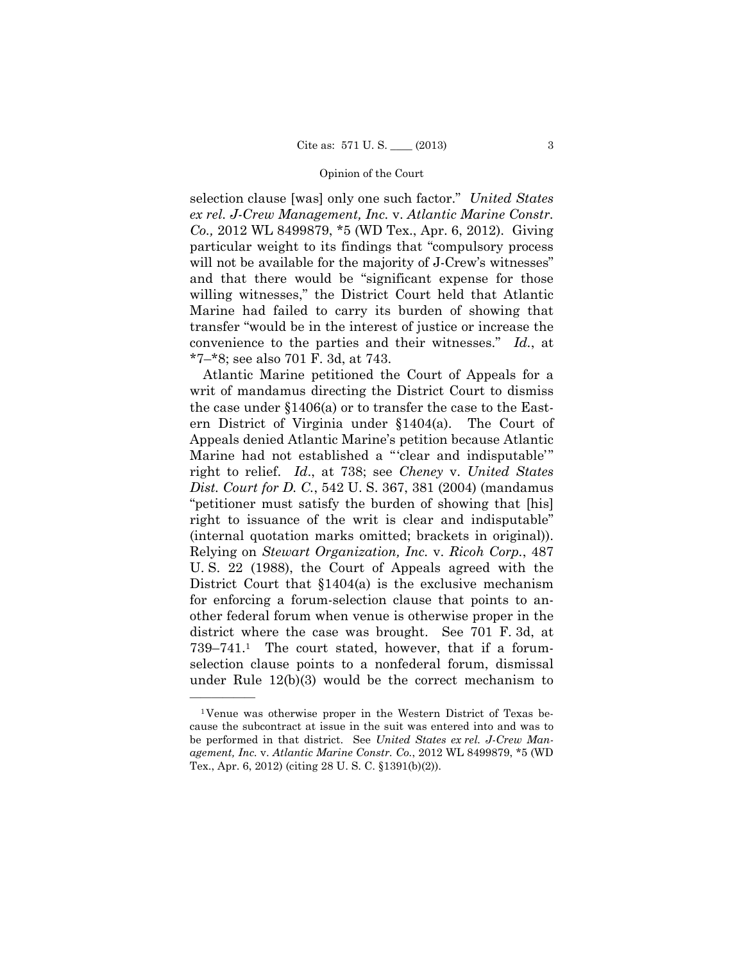selection clause [was] only one such factor." *United States ex rel. J-Crew Management, Inc.* v. *Atlantic Marine Constr. Co.,* 2012 WL 8499879, \*5 (WD Tex., Apr. 6, 2012). Giving particular weight to its findings that "compulsory process will not be available for the majority of J-Crew's witnesses" and that there would be "significant expense for those willing witnesses," the District Court held that Atlantic Marine had failed to carry its burden of showing that transfer "would be in the interest of justice or increase the convenience to the parties and their witnesses." *Id.*, at \*7–\*8; see also 701 F. 3d, at 743.

 739–741.1 The court stated, however, that if a forum-Atlantic Marine petitioned the Court of Appeals for a writ of mandamus directing the District Court to dismiss the case under §1406(a) or to transfer the case to the Eastern District of Virginia under §1404(a). The Court of Appeals denied Atlantic Marine's petition because Atlantic Marine had not established a "'clear and indisputable'" right to relief. *Id*., at 738; see *Cheney* v. *United States Dist. Court for D. C.*, 542 U. S. 367, 381 (2004) (mandamus "petitioner must satisfy the burden of showing that [his] right to issuance of the writ is clear and indisputable" (internal quotation marks omitted; brackets in original)). Relying on *Stewart Organization, Inc.* v. *Ricoh Corp.*, 487 U. S. 22 (1988), the Court of Appeals agreed with the District Court that §1404(a) is the exclusive mechanism for enforcing a forum-selection clause that points to another federal forum when venue is otherwise proper in the district where the case was brought. See 701 F. 3d, at selection clause points to a nonfederal forum, dismissal under Rule 12(b)(3) would be the correct mechanism to

<sup>1</sup>Venue was otherwise proper in the Western District of Texas because the subcontract at issue in the suit was entered into and was to be performed in that district. See *United States ex rel. J-Crew Management, Inc.* v. *Atlantic Marine Constr. Co.*, 2012 WL 8499879, \*5 (WD Tex., Apr. 6, 2012) (citing 28 U. S. C. §1391(b)(2)).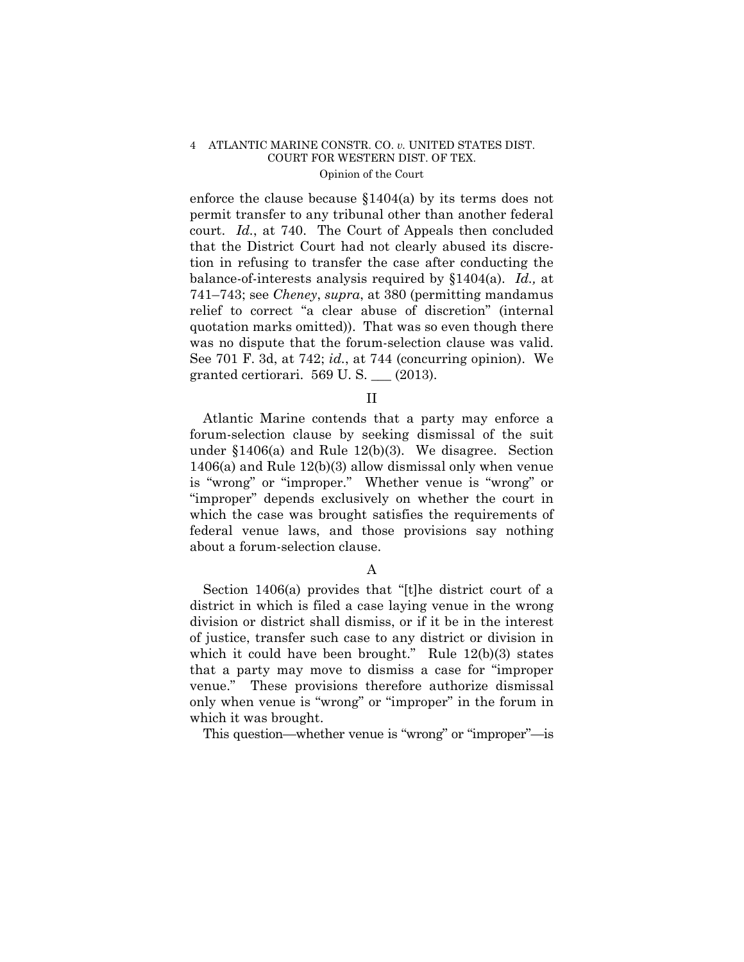was no dispute that the forum-selection clause was valid. enforce the clause because §1404(a) by its terms does not permit transfer to any tribunal other than another federal court. *Id.*, at 740. The Court of Appeals then concluded that the District Court had not clearly abused its discretion in refusing to transfer the case after conducting the balance-of-interests analysis required by §1404(a). *Id.,* at 741–743; see *Cheney*, *supra*, at 380 (permitting mandamus relief to correct "a clear abuse of discretion" (internal quotation marks omitted)). That was so even though there See 701 F. 3d, at 742; *id.*, at 744 (concurring opinion). We granted certiorari. 569 U. S. \_\_\_ (2013).

II

Atlantic Marine contends that a party may enforce a forum-selection clause by seeking dismissal of the suit under §1406(a) and Rule 12(b)(3). We disagree. Section 1406(a) and Rule 12(b)(3) allow dismissal only when venue is "wrong" or "improper." Whether venue is "wrong" or "improper" depends exclusively on whether the court in which the case was brought satisfies the requirements of federal venue laws, and those provisions say nothing about a forum-selection clause.

## A

Section 1406(a) provides that "[t]he district court of a district in which is filed a case laying venue in the wrong division or district shall dismiss, or if it be in the interest of justice, transfer such case to any district or division in which it could have been brought." Rule  $12(b)(3)$  states that a party may move to dismiss a case for "improper venue." These provisions therefore authorize dismissal only when venue is "wrong" or "improper" in the forum in which it was brought.

This question—whether venue is "wrong" or "improper"—is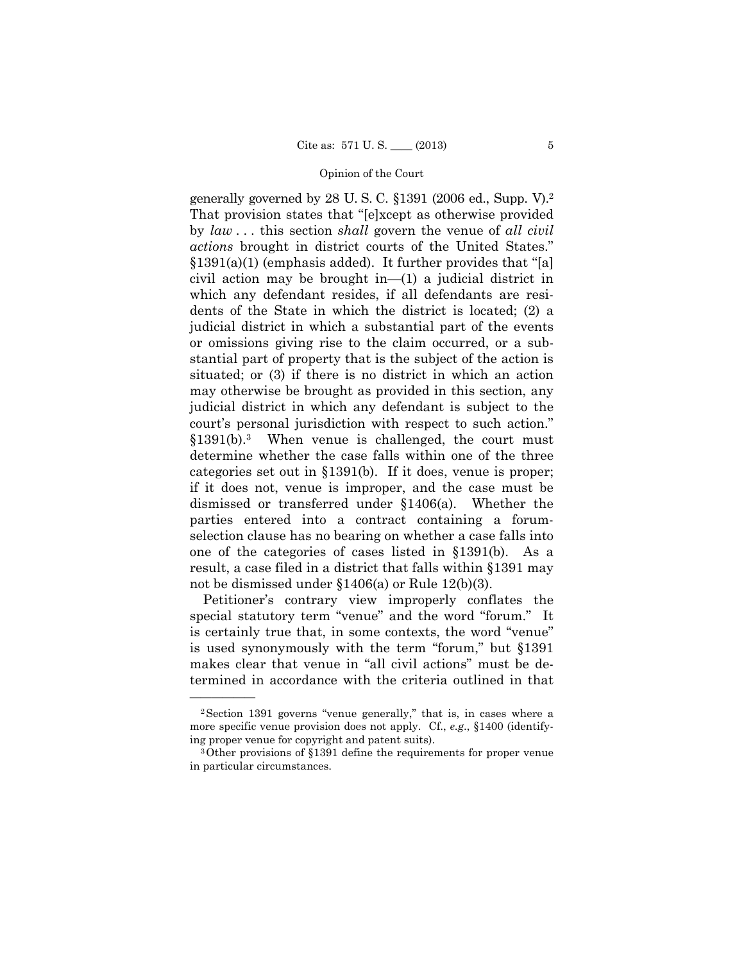generally governed by 28 U. S. C. §1391 (2006 ed., Supp. V).2 *actions* brought in district courts of the United States." That provision states that "[e]xcept as otherwise provided by *law* . . . this section *shall* govern the venue of *all civil*   $§1391(a)(1)$  (emphasis added). It further provides that "[a] civil action may be brought in—(1) a judicial district in which any defendant resides, if all defendants are residents of the State in which the district is located; (2) a judicial district in which a substantial part of the events or omissions giving rise to the claim occurred, or a substantial part of property that is the subject of the action is situated; or (3) if there is no district in which an action may otherwise be brought as provided in this section, any judicial district in which any defendant is subject to the court's personal jurisdiction with respect to such action."  $$1391(b).$ <sup>3</sup> When venue is challenged, the court must determine whether the case falls within one of the three categories set out in §1391(b). If it does, venue is proper; if it does not, venue is improper, and the case must be dismissed or transferred under §1406(a). Whether the parties entered into a contract containing a forumselection clause has no bearing on whether a case falls into one of the categories of cases listed in §1391(b). As a result, a case filed in a district that falls within §1391 may not be dismissed under §1406(a) or Rule 12(b)(3).

Petitioner's contrary view improperly conflates the special statutory term "venue" and the word "forum." It is certainly true that, in some contexts, the word "venue" is used synonymously with the term "forum," but §1391 makes clear that venue in "all civil actions" must be determined in accordance with the criteria outlined in that

<sup>2</sup>Section 1391 governs "venue generally," that is, in cases where a more specific venue provision does not apply. Cf., *e.g*., §1400 (identifying proper venue for copyright and patent suits).<br><sup>3</sup>Other provisions of §1391 define the requirements for proper venue

in particular circumstances.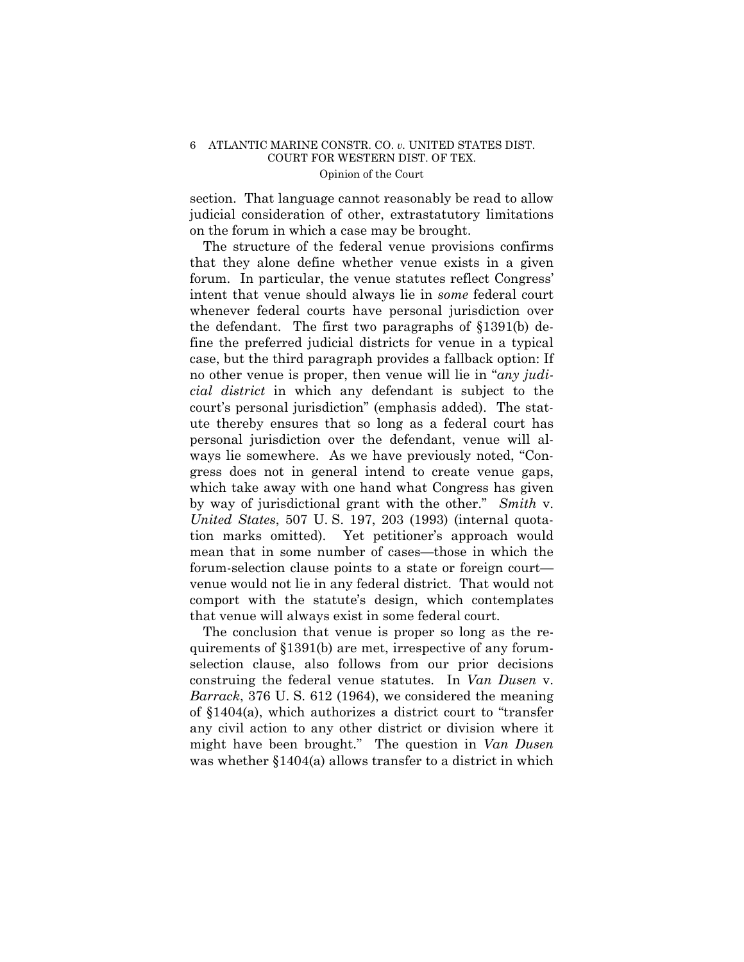section. That language cannot reasonably be read to allow judicial consideration of other, extrastatutory limitations on the forum in which a case may be brought.

The structure of the federal venue provisions confirms that they alone define whether venue exists in a given forum. In particular, the venue statutes reflect Congress' intent that venue should always lie in *some* federal court whenever federal courts have personal jurisdiction over the defendant. The first two paragraphs of §1391(b) define the preferred judicial districts for venue in a typical case, but the third paragraph provides a fallback option: If no other venue is proper, then venue will lie in "*any judicial district* in which any defendant is subject to the court's personal jurisdiction" (emphasis added). The statute thereby ensures that so long as a federal court has personal jurisdiction over the defendant, venue will always lie somewhere. As we have previously noted, "Congress does not in general intend to create venue gaps, which take away with one hand what Congress has given by way of jurisdictional grant with the other." *Smith* v. *United States*, 507 U. S. 197, 203 (1993) (internal quotation marks omitted). Yet petitioner's approach would mean that in some number of cases—those in which the forum-selection clause points to a state or foreign court venue would not lie in any federal district. That would not comport with the statute's design, which contemplates that venue will always exist in some federal court.

The conclusion that venue is proper so long as the requirements of §1391(b) are met, irrespective of any forumselection clause, also follows from our prior decisions construing the federal venue statutes. In *Van Dusen* v. *Barrack*, 376 U. S. 612 (1964), we considered the meaning of §1404(a), which authorizes a district court to "transfer any civil action to any other district or division where it might have been brought." The question in *Van Dusen*  was whether  $$1404(a)$  allows transfer to a district in which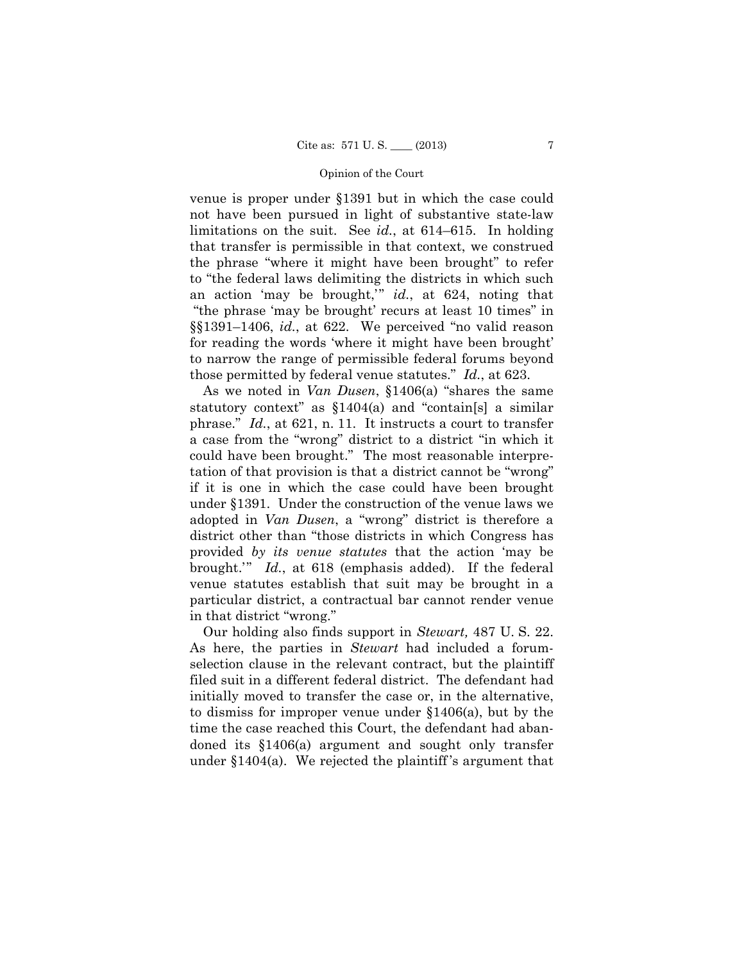venue is proper under §1391 but in which the case could not have been pursued in light of substantive state-law limitations on the suit. See *id.*, at 614–615. In holding that transfer is permissible in that context, we construed the phrase "where it might have been brought" to refer to "the federal laws delimiting the districts in which such an action 'may be brought,'" *id.*, at 624, noting that "the phrase 'may be brought' recurs at least 10 times" in §§1391–1406, *id.*, at 622. We perceived "no valid reason for reading the words 'where it might have been brought' to narrow the range of permissible federal forums beyond those permitted by federal venue statutes." *Id.*, at 623.

As we noted in *Van Dusen*, §1406(a) "shares the same statutory context" as §1404(a) and "contain[s] a similar phrase." *Id.*, at 621, n. 11. It instructs a court to transfer a case from the "wrong" district to a district "in which it could have been brought." The most reasonable interpretation of that provision is that a district cannot be "wrong" if it is one in which the case could have been brought under §1391. Under the construction of the venue laws we adopted in *Van Dusen*, a "wrong" district is therefore a district other than "those districts in which Congress has provided *by its venue statutes* that the action 'may be brought.'" *Id.*, at 618 (emphasis added). If the federal venue statutes establish that suit may be brought in a particular district, a contractual bar cannot render venue in that district "wrong."

Our holding also finds support in *Stewart,* 487 U. S. 22. As here, the parties in *Stewart* had included a forumselection clause in the relevant contract, but the plaintiff filed suit in a different federal district. The defendant had initially moved to transfer the case or, in the alternative, to dismiss for improper venue under §1406(a), but by the time the case reached this Court, the defendant had abandoned its §1406(a) argument and sought only transfer under §1404(a). We rejected the plaintiff 's argument that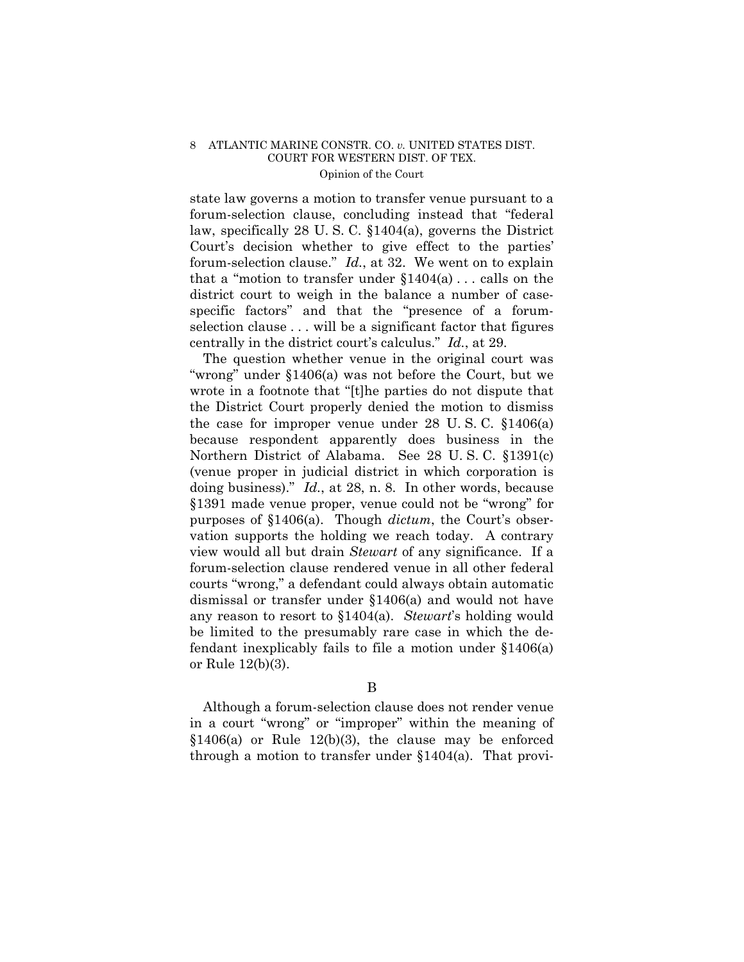state law governs a motion to transfer venue pursuant to a forum-selection clause, concluding instead that "federal law, specifically 28 U. S. C. §1404(a), governs the District Court's decision whether to give effect to the parties' forum-selection clause." *Id.*, at 32. We went on to explain that a "motion to transfer under  $$1404(a) \dots$  calls on the district court to weigh in the balance a number of casespecific factors" and that the "presence of a forumselection clause . . . will be a significant factor that figures centrally in the district court's calculus." *Id.*, at 29.

The question whether venue in the original court was "wrong" under §1406(a) was not before the Court, but we wrote in a footnote that "[t]he parties do not dispute that the District Court properly denied the motion to dismiss the case for improper venue under 28 U. S. C. §1406(a) because respondent apparently does business in the Northern District of Alabama. See 28 U. S. C. §1391(c) (venue proper in judicial district in which corporation is doing business)." *Id.*, at 28, n. 8. In other words, because §1391 made venue proper, venue could not be "wrong" for purposes of §1406(a). Though *dictum*, the Court's observation supports the holding we reach today. A contrary view would all but drain *Stewart* of any significance. If a forum-selection clause rendered venue in all other federal courts "wrong," a defendant could always obtain automatic dismissal or transfer under §1406(a) and would not have any reason to resort to §1404(a). *Stewart*'s holding would be limited to the presumably rare case in which the defendant inexplicably fails to file a motion under §1406(a) or Rule 12(b)(3).

Although a forum-selection clause does not render venue in a court "wrong" or "improper" within the meaning of  $$1406(a)$  or Rule  $12(b)(3)$ , the clause may be enforced through a motion to transfer under §1404(a). That provi-

B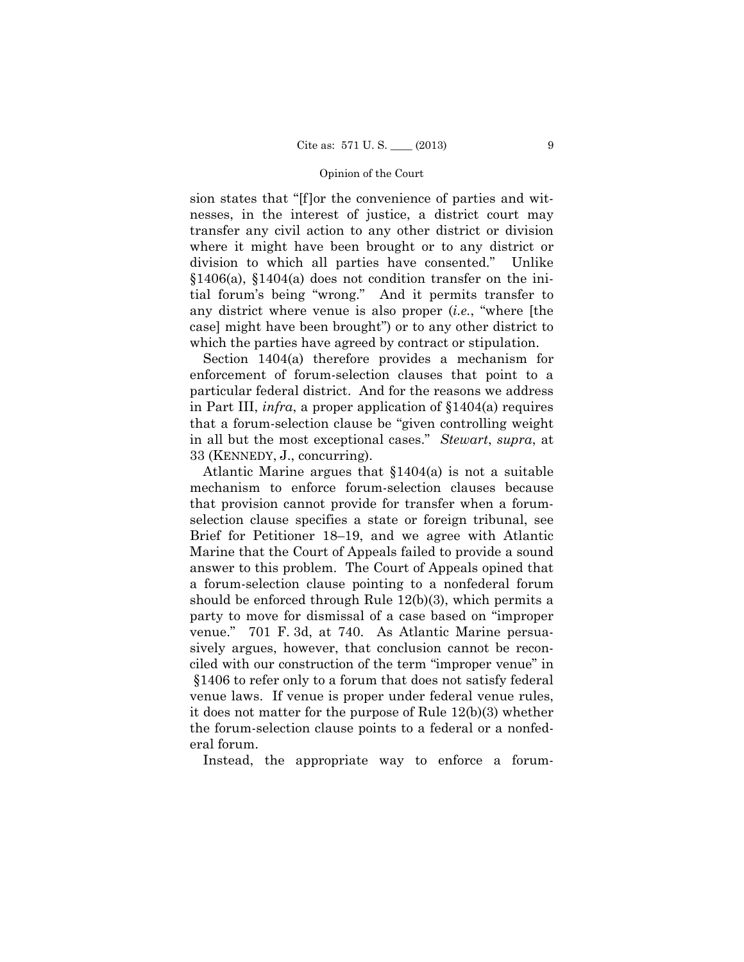sion states that "[f]or the convenience of parties and witnesses, in the interest of justice, a district court may transfer any civil action to any other district or division where it might have been brought or to any district or division to which all parties have consented." Unlike §1406(a), §1404(a) does not condition transfer on the initial forum's being "wrong." And it permits transfer to any district where venue is also proper (*i.e.*, "where [the case] might have been brought") or to any other district to which the parties have agreed by contract or stipulation.

Section 1404(a) therefore provides a mechanism for enforcement of forum-selection clauses that point to a particular federal district. And for the reasons we address in Part III, *infra*, a proper application of §1404(a) requires that a forum-selection clause be "given controlling weight in all but the most exceptional cases." *Stewart*, *supra*, at 33 (KENNEDY, J., concurring).

Atlantic Marine argues that §1404(a) is not a suitable mechanism to enforce forum-selection clauses because that provision cannot provide for transfer when a forumselection clause specifies a state or foreign tribunal, see Brief for Petitioner 18–19, and we agree with Atlantic Marine that the Court of Appeals failed to provide a sound answer to this problem. The Court of Appeals opined that a forum-selection clause pointing to a nonfederal forum should be enforced through Rule 12(b)(3), which permits a party to move for dismissal of a case based on "improper venue." 701 F. 3d, at 740. As Atlantic Marine persuasively argues, however, that conclusion cannot be reconciled with our construction of the term "improper venue" in §1406 to refer only to a forum that does not satisfy federal venue laws. If venue is proper under federal venue rules, it does not matter for the purpose of Rule 12(b)(3) whether the forum-selection clause points to a federal or a nonfederal forum.

Instead, the appropriate way to enforce a forum-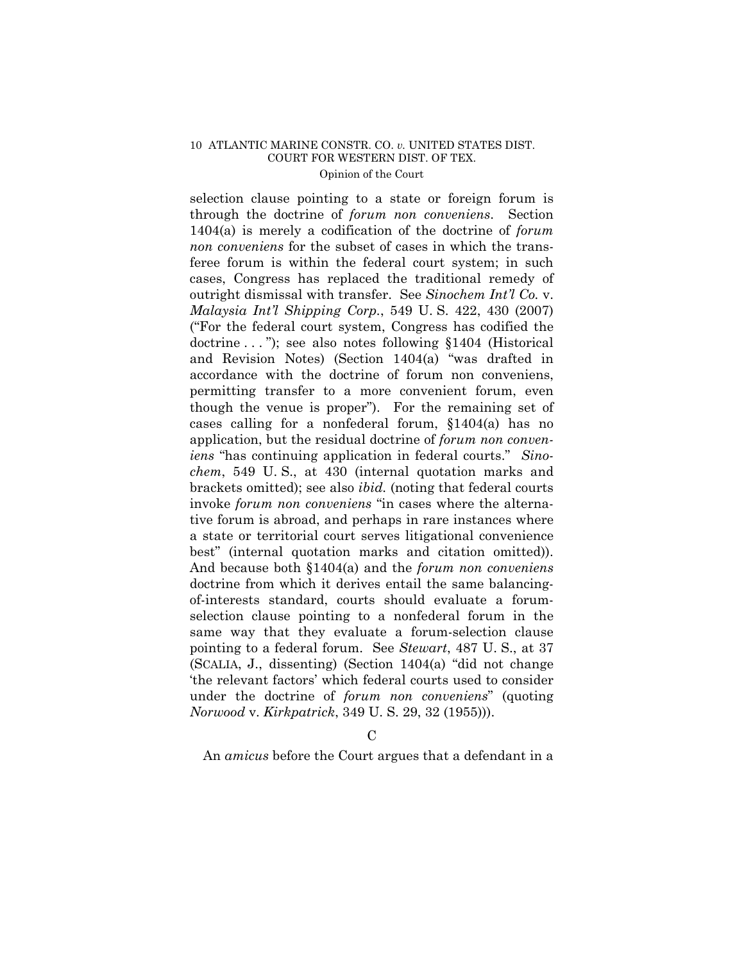best" (internal quotation marks and citation omitted)). selection clause pointing to a state or foreign forum is through the doctrine of *forum non conveniens*. Section 1404(a) is merely a codification of the doctrine of *forum non conveniens* for the subset of cases in which the transferee forum is within the federal court system; in such cases, Congress has replaced the traditional remedy of outright dismissal with transfer. See *Sinochem Int'l Co.* v. *Malaysia Int'l Shipping Corp.*, 549 U. S. 422, 430 (2007) ("For the federal court system, Congress has codified the doctrine . . . "); see also notes following §1404 (Historical and Revision Notes) (Section 1404(a) "was drafted in accordance with the doctrine of forum non conveniens, permitting transfer to a more convenient forum, even though the venue is proper"). For the remaining set of cases calling for a nonfederal forum, §1404(a) has no application, but the residual doctrine of *forum non conveniens* "has continuing application in federal courts." *Sinochem*, 549 U. S., at 430 (internal quotation marks and brackets omitted); see also *ibid.* (noting that federal courts invoke *forum non conveniens* "in cases where the alternative forum is abroad, and perhaps in rare instances where a state or territorial court serves litigational convenience And because both §1404(a) and the *forum non conveniens*  doctrine from which it derives entail the same balancingof-interests standard, courts should evaluate a forumselection clause pointing to a nonfederal forum in the same way that they evaluate a forum-selection clause pointing to a federal forum. See *Stewart*, 487 U. S., at 37 (SCALIA, J., dissenting) (Section 1404(a) "did not change 'the relevant factors' which federal courts used to consider under the doctrine of *forum non conveniens*" (quoting *Norwood* v. *Kirkpatrick*, 349 U. S. 29, 32 (1955))).

 $\mathcal{C}$ 

An *amicus* before the Court argues that a defendant in a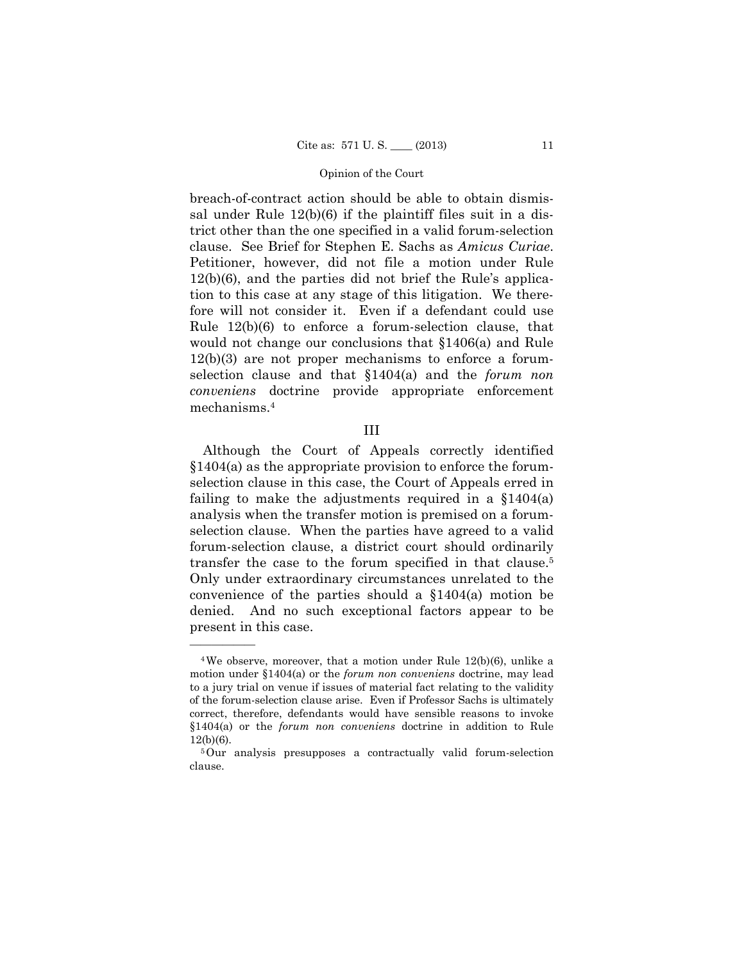breach-of-contract action should be able to obtain dismissal under Rule 12(b)(6) if the plaintiff files suit in a district other than the one specified in a valid forum-selection clause. See Brief for Stephen E. Sachs as *Amicus Curiae*. Petitioner, however, did not file a motion under Rule 12(b)(6), and the parties did not brief the Rule's application to this case at any stage of this litigation. We therefore will not consider it. Even if a defendant could use Rule 12(b)(6) to enforce a forum-selection clause, that would not change our conclusions that §1406(a) and Rule 12(b)(3) are not proper mechanisms to enforce a forumselection clause and that §1404(a) and the *forum non conveniens* doctrine provide appropriate enforcement mechanisms.4

### III

 transfer the case to the forum specified in that clause.5 Although the Court of Appeals correctly identified §1404(a) as the appropriate provision to enforce the forumselection clause in this case, the Court of Appeals erred in failing to make the adjustments required in a  $$1404(a)$ analysis when the transfer motion is premised on a forumselection clause. When the parties have agreed to a valid forum-selection clause, a district court should ordinarily Only under extraordinary circumstances unrelated to the convenience of the parties should a §1404(a) motion be denied. And no such exceptional factors appear to be present in this case.

 motion under §1404(a) or the *forum non conveniens* doctrine, may lead <sup>4</sup>We observe, moreover, that a motion under Rule  $12(b)(6)$ , unlike a to a jury trial on venue if issues of material fact relating to the validity of the forum-selection clause arise. Even if Professor Sachs is ultimately correct, therefore, defendants would have sensible reasons to invoke §1404(a) or the *forum non conveniens* doctrine in addition to Rule  $12(b)(6)$ .<br><sup>5</sup>Our analysis presupposes a contractually valid forum-selection

clause.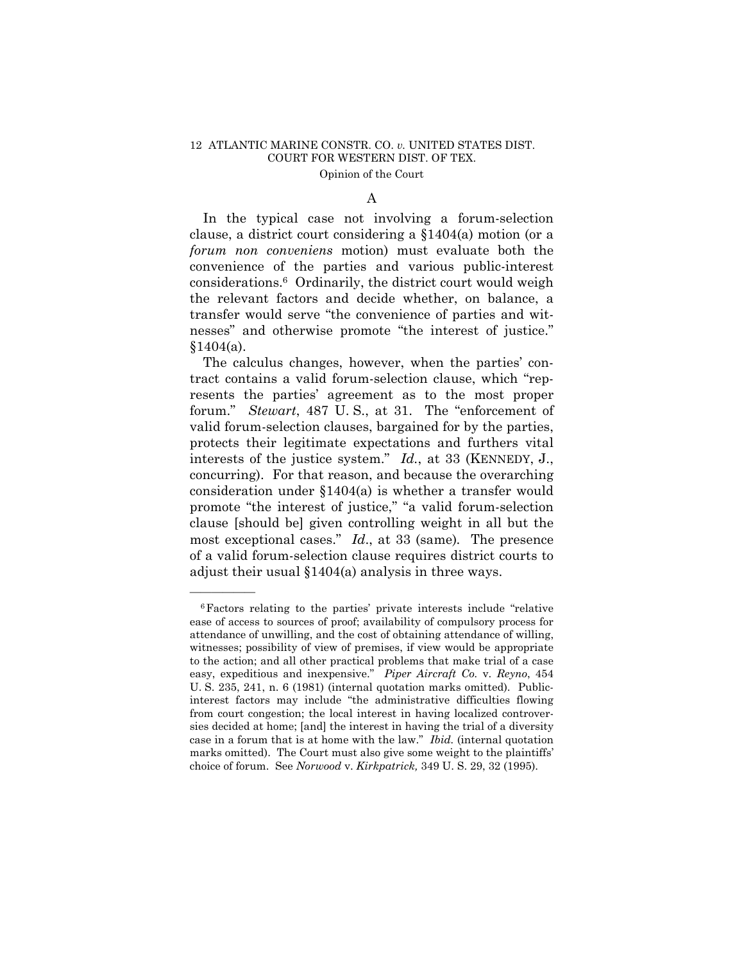A

In the typical case not involving a forum-selection clause, a district court considering a §1404(a) motion (or a *forum non conveniens* motion) must evaluate both the convenience of the parties and various public-interest considerations.6 Ordinarily, the district court would weigh the relevant factors and decide whether, on balance, a transfer would serve "the convenience of parties and witnesses" and otherwise promote "the interest of justice." §1404(a).

resents the parties' agreement as to the most proper The calculus changes, however, when the parties' contract contains a valid forum-selection clause, which "repforum." *Stewart*, 487 U. S., at 31. The "enforcement of valid forum-selection clauses, bargained for by the parties, protects their legitimate expectations and furthers vital interests of the justice system." *Id.*, at 33 (KENNEDY, J., concurring). For that reason, and because the overarching consideration under §1404(a) is whether a transfer would promote "the interest of justice," "a valid forum-selection clause [should be] given controlling weight in all but the most exceptional cases." *Id*., at 33 (same)*.* The presence of a valid forum-selection clause requires district courts to adjust their usual §1404(a) analysis in three ways.

<sup>6</sup>Factors relating to the parties' private interests include "relative ease of access to sources of proof; availability of compulsory process for attendance of unwilling, and the cost of obtaining attendance of willing, witnesses; possibility of view of premises, if view would be appropriate to the action; and all other practical problems that make trial of a case easy, expeditious and inexpensive." *Piper Aircraft Co.* v. *Reyno*, 454 U. S. 235, 241, n. 6 (1981) (internal quotation marks omitted). Publicinterest factors may include "the administrative difficulties flowing from court congestion; the local interest in having localized controversies decided at home; [and] the interest in having the trial of a diversity case in a forum that is at home with the law." *Ibid.* (internal quotation marks omitted). The Court must also give some weight to the plaintiffs' choice of forum. See *Norwood* v. *Kirkpatrick,* 349 U. S. 29, 32 (1995).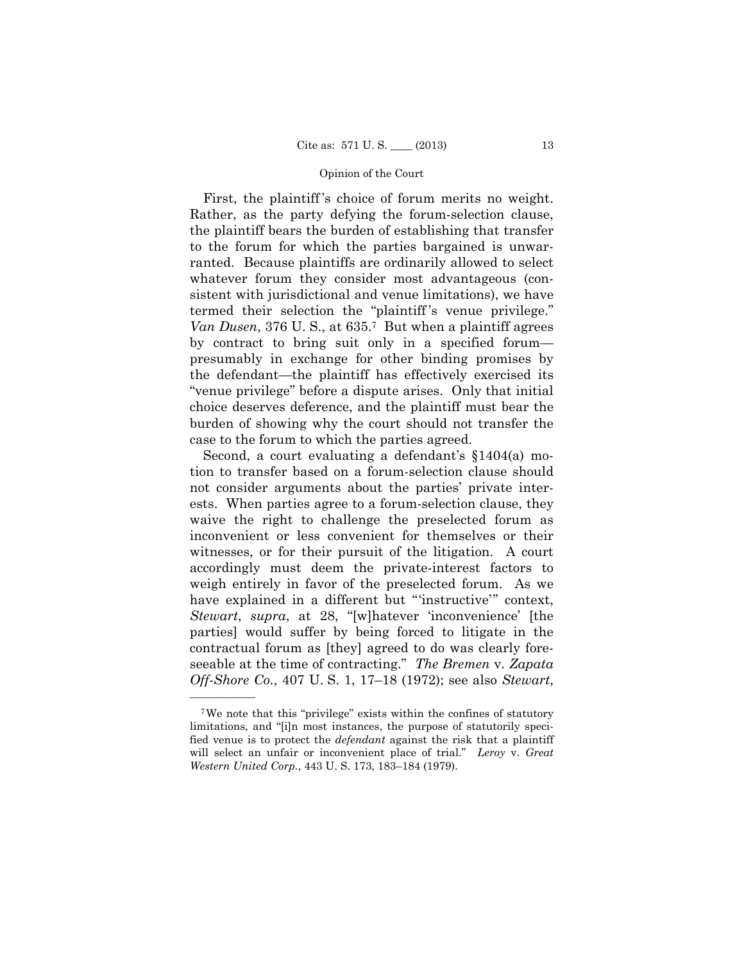First, the plaintiff 's choice of forum merits no weight. Rather, as the party defying the forum-selection clause, the plaintiff bears the burden of establishing that transfer to the forum for which the parties bargained is unwarranted. Because plaintiffs are ordinarily allowed to select whatever forum they consider most advantageous (consistent with jurisdictional and venue limitations), we have termed their selection the "plaintiff 's venue privilege." *Van Dusen*, 376 U. S., at 635.7 But when a plaintiff agrees by contract to bring suit only in a specified forum presumably in exchange for other binding promises by the defendant—the plaintiff has effectively exercised its "venue privilege" before a dispute arises. Only that initial choice deserves deference, and the plaintiff must bear the burden of showing why the court should not transfer the case to the forum to which the parties agreed.

 seeable at the time of contracting." *The Bremen* v. *Zapata*  Second, a court evaluating a defendant's §1404(a) motion to transfer based on a forum-selection clause should not consider arguments about the parties' private interests. When parties agree to a forum-selection clause, they waive the right to challenge the preselected forum as inconvenient or less convenient for themselves or their witnesses, or for their pursuit of the litigation. A court accordingly must deem the private-interest factors to weigh entirely in favor of the preselected forum. As we have explained in a different but "'instructive'" context, *Stewart*, *supra*, at 28, "[w]hatever 'inconvenience' [the parties] would suffer by being forced to litigate in the contractual forum as [they] agreed to do was clearly fore-*Off-Shore Co.*, 407 U. S. 1, 17–18 (1972); see also *Stewart*,

<sup>7</sup>We note that this "privilege" exists within the confines of statutory limitations, and "[i]n most instances, the purpose of statutorily specified venue is to protect the *defendant* against the risk that a plaintiff will select an unfair or inconvenient place of trial." *Leroy* v. *Great Western United Corp.*, 443 U. S. 173, 183–184 (1979).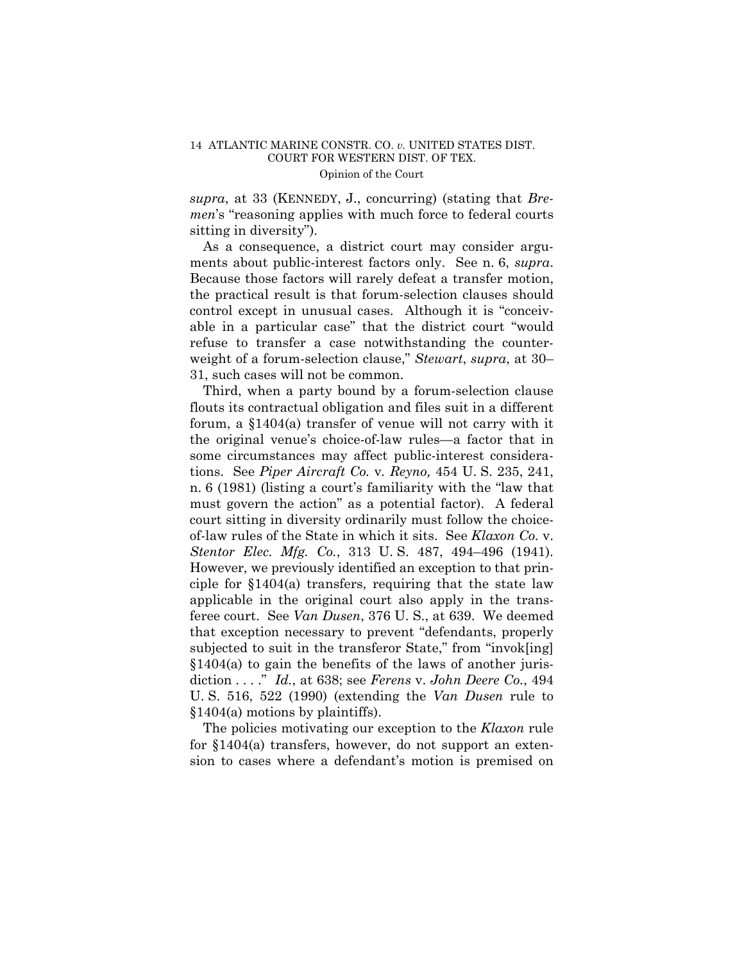*supra*, at 33 (KENNEDY, J., concurring) (stating that *Bremen*'s "reasoning applies with much force to federal courts sitting in diversity").

As a consequence, a district court may consider arguments about public-interest factors only. See n. 6, *supra*. Because those factors will rarely defeat a transfer motion, the practical result is that forum-selection clauses should control except in unusual cases. Although it is "conceivable in a particular case" that the district court "would refuse to transfer a case notwithstanding the counterweight of a forum-selection clause," *Stewart*, *supra*, at 30– 31, such cases will not be common.

 *Stentor Elec. Mfg. Co.*, 313 U. S. 487, 494–496 (1941). Third, when a party bound by a forum-selection clause flouts its contractual obligation and files suit in a different forum, a §1404(a) transfer of venue will not carry with it the original venue's choice-of-law rules—a factor that in some circumstances may affect public-interest considerations. See *Piper Aircraft Co.* v*. Reyno,* 454 U. S. 235, 241, n. 6 (1981) (listing a court's familiarity with the "law that must govern the action" as a potential factor). A federal court sitting in diversity ordinarily must follow the choiceof-law rules of the State in which it sits. See *Klaxon Co.* v. However, we previously identified an exception to that principle for §1404(a) transfers, requiring that the state law applicable in the original court also apply in the transferee court. See *Van Dusen*, 376 U. S., at 639. We deemed that exception necessary to prevent "defendants, properly subjected to suit in the transferor State," from "invok[ing] §1404(a) to gain the benefits of the laws of another jurisdiction . . . ." *Id.*, at 638; see *Ferens* v. *John Deere Co.*, 494 U. S. 516, 522 (1990) (extending the *Van Dusen* rule to §1404(a) motions by plaintiffs).

The policies motivating our exception to the *Klaxon* rule for §1404(a) transfers, however, do not support an extension to cases where a defendant's motion is premised on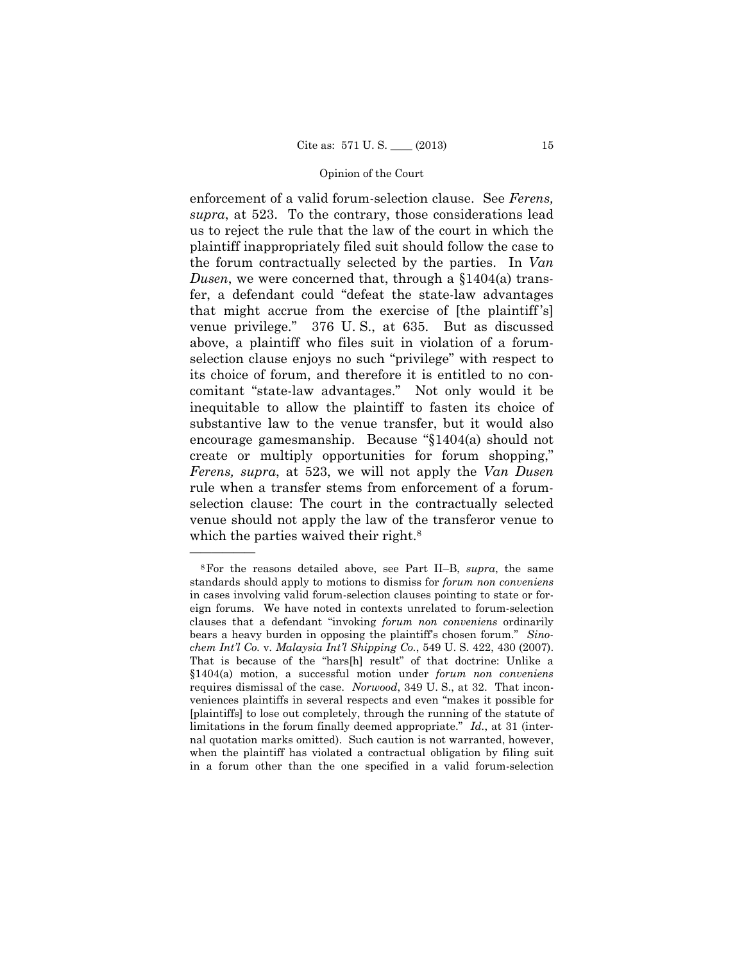enforcement of a valid forum-selection clause. See *Ferens, supra*, at 523. To the contrary, those considerations lead us to reject the rule that the law of the court in which the plaintiff inappropriately filed suit should follow the case to the forum contractually selected by the parties. In *Van Dusen*, we were concerned that, through a §1404(a) transfer, a defendant could "defeat the state-law advantages that might accrue from the exercise of [the plaintiff 's] venue privilege." 376 U. S., at 635. But as discussed above, a plaintiff who files suit in violation of a forumselection clause enjoys no such "privilege" with respect to its choice of forum, and therefore it is entitled to no concomitant "state-law advantages." Not only would it be inequitable to allow the plaintiff to fasten its choice of substantive law to the venue transfer, but it would also encourage gamesmanship. Because "§1404(a) should not create or multiply opportunities for forum shopping," *Ferens, supra*, at 523, we will not apply the *Van Dusen*  rule when a transfer stems from enforcement of a forumselection clause: The court in the contractually selected venue should not apply the law of the transferor venue to which the parties waived their right.<sup>8</sup>

<sup>8</sup>For the reasons detailed above, see Part II–B, *supra*, the same standards should apply to motions to dismiss for *forum non conveniens*  in cases involving valid forum-selection clauses pointing to state or foreign forums. We have noted in contexts unrelated to forum-selection clauses that a defendant "invoking *forum non conveniens* ordinarily bears a heavy burden in opposing the plaintiff's chosen forum." *Sinochem Int'l Co.* v*. Malaysia Int'l Shipping Co.*, 549 U. S. 422, 430 (2007). That is because of the "hars[h] result" of that doctrine: Unlike a §1404(a) motion, a successful motion under *forum non conveniens*  requires dismissal of the case. *Norwood*, 349 U. S., at 32. That inconveniences plaintiffs in several respects and even "makes it possible for [plaintiffs] to lose out completely, through the running of the statute of limitations in the forum finally deemed appropriate." *Id.*, at 31 (internal quotation marks omitted). Such caution is not warranted, however, when the plaintiff has violated a contractual obligation by filing suit in a forum other than the one specified in a valid forum-selection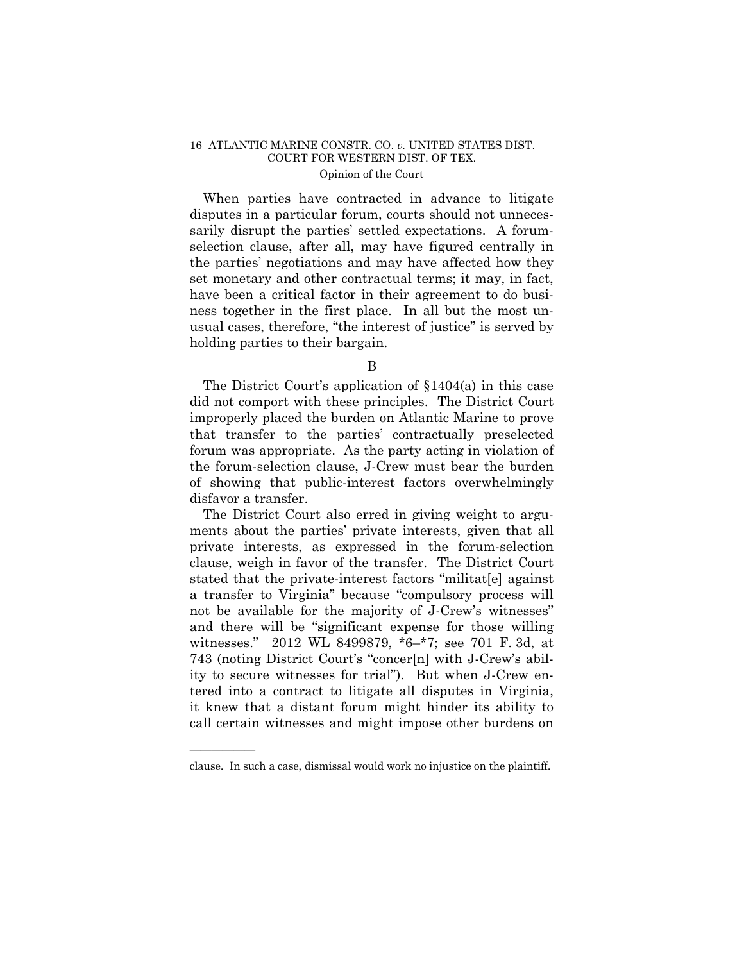When parties have contracted in advance to litigate disputes in a particular forum, courts should not unnecessarily disrupt the parties' settled expectations. A forumselection clause, after all, may have figured centrally in the parties' negotiations and may have affected how they set monetary and other contractual terms; it may, in fact, have been a critical factor in their agreement to do business together in the first place. In all but the most unusual cases, therefore, "the interest of justice" is served by holding parties to their bargain.

B

The District Court's application of §1404(a) in this case did not comport with these principles. The District Court improperly placed the burden on Atlantic Marine to prove that transfer to the parties' contractually preselected forum was appropriate. As the party acting in violation of the forum-selection clause, J-Crew must bear the burden of showing that public-interest factors overwhelmingly disfavor a transfer.

The District Court also erred in giving weight to arguments about the parties' private interests, given that all private interests, as expressed in the forum-selection clause, weigh in favor of the transfer. The District Court stated that the private-interest factors "militat[e] against a transfer to Virginia" because "compulsory process will not be available for the majority of J-Crew's witnesses" and there will be "significant expense for those willing witnesses." 2012 WL 8499879, \*6–\*7; see 701 F. 3d, at 743 (noting District Court's "concer[n] with J-Crew's ability to secure witnesses for trial"). But when J-Crew entered into a contract to litigate all disputes in Virginia, it knew that a distant forum might hinder its ability to call certain witnesses and might impose other burdens on

clause. In such a case, dismissal would work no injustice on the plaintiff.